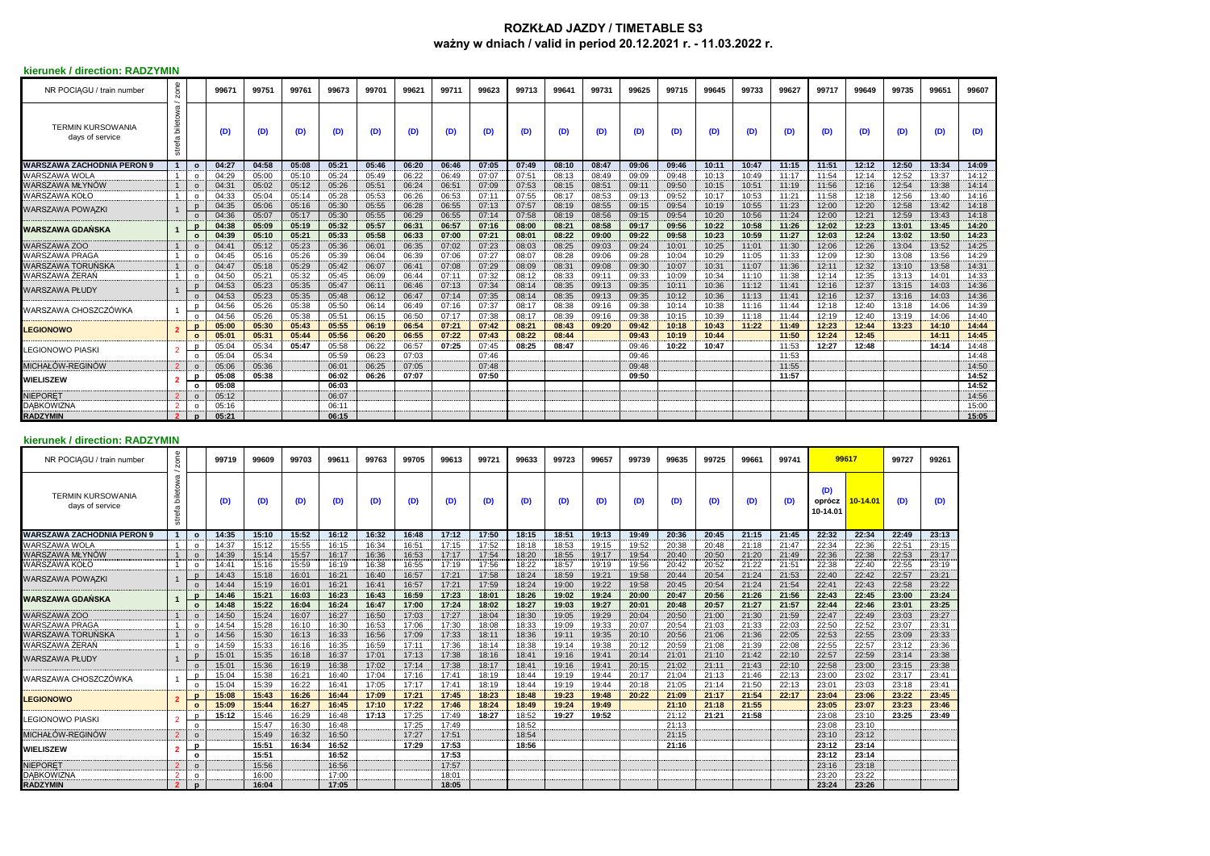# **ROZKŁAD JAZDY / TIMETABLE S3 ważny w dniach / valid in period 20.12.2021 r. - 11.03.2022 r.**

### **kierunek / direction: RADZYMIN**

| NR POCIAGU / train number                   | zone               |              | 99671 | 99751 | 99761 | 99673 | 99701 | 99621 | 99711 | 99623 | 99713 | 99641 | 99731 | 99625 | 99715 | 99645 | 99733 | 99627 | 99717 | 99649 | 99735 | 99651 | 99607 |
|---------------------------------------------|--------------------|--------------|-------|-------|-------|-------|-------|-------|-------|-------|-------|-------|-------|-------|-------|-------|-------|-------|-------|-------|-------|-------|-------|
| <b>TERMIN KURSOWANIA</b><br>days of service | biletowa<br>strefa |              | (D)   | (D)   | (D)   | (D)   | (D)   | (D)   | (D)   | (D)   | (D)   | (D)   | (D)   | (D)   | (D)   | (D)   | (D)   | (D)   | (D)   | (D)   | (D)   | (D)   | (D)   |
| <b>WARSZAWA ZACHODNIA PERON 9</b>           |                    | $\circ$      | 04:27 | 04:58 | 05:08 | 05:21 | 05:46 | 06:20 | 06:46 | 07:05 | 07:49 | 08:10 | 08:47 | 09:06 | 09:46 | 10:11 | 10:47 | 11:15 | 11:51 | 12:12 | 12:50 | 13:34 | 14:09 |
| WARSZAWA WOLA                               |                    | $\circ$      | 04:29 | 05:00 | 05:10 | 05:24 | 05:49 | 06:22 | 06:49 | 07:07 | 07:51 | 08:13 | 08:49 | 09:09 | 09:48 | 10:13 | 10:49 | 11:17 | 11:54 | 12:14 | 12:52 | 13:37 | 14:12 |
| WARSZAWA MŁYNÓW                             |                    | $\Omega$     | 04:31 | 05:02 | 05:12 | 05:26 | 05:51 | 06:24 | 06:51 | 07:09 | 07:53 | 08:15 | 08:51 | 09:11 | 09:50 | 10:15 | 10:51 | 11:19 | 11:56 | 12:16 | 12:54 | 13:38 | 14:14 |
| <b>WARSZAWA KOŁO</b>                        |                    | $\circ$      | 04:33 | 05:04 | 05:14 | 05:28 | 05:53 | 06:26 | 06:53 | 07:11 | 07:55 | 08:17 | 08:53 | 09:13 | 09:52 | 10:17 | 10:53 | 11:21 | 11:58 | 12:18 | 12:56 | 13:40 | 14:16 |
| <b>WARSZAWA POWAZKI</b>                     |                    | $\mathbf{D}$ | 04:35 | 05:06 | 05:16 | 05:30 | 05:55 | 06:28 | 06:55 | 07:13 | 07:57 | 08:19 | 08:55 | 09:15 | 09:54 | 10:19 | 10:55 | 11:23 | 12:00 | 12:20 | 12:58 | 13:42 | 14:18 |
|                                             |                    | $\Omega$     | 04:36 | 05:07 | 05:17 | 05:30 | 05:55 | 06:29 | 06:55 | 07:14 | 07:58 | 08:19 | 08:56 | 09:15 | 09:54 | 10:20 | 10:56 | 11:24 | 12:00 | 12:21 | 12:59 | 13:43 | 14:18 |
| <b>WARSZAWA GDAŃSKA</b>                     |                    | $\mathbf{D}$ | 04:38 | 05:09 | 05:19 | 05:32 | 05:57 | 06:31 | 06:57 | 07:16 | 08:00 | 08:21 | 08:58 | 09:17 | 09:56 | 10:22 | 10:58 | 11:26 | 12:02 | 12:23 | 13:01 | 13:45 | 14:20 |
|                                             |                    | $\Omega$     | 04:39 | 05:10 | 05:21 | 05:33 | 05:58 | 06:33 | 07:00 | 07:21 | 08:01 | 08:22 | 09:00 | 09:22 | 09:58 | 10:23 | 10:59 | 11:27 | 12:03 | 12:24 | 13:02 | 13:50 | 14:23 |
| <b>WARSZAWA ZOO</b>                         |                    | $\circ$      | 04:41 | 05:12 | 05:23 | 05:36 | 06:01 | 06:35 | 07:02 | 07:23 | 08:03 | 08:25 | 09:03 | 09:24 | 10:01 | 10:25 | 11:01 | 11:30 | 12:06 | 12:26 | 13:04 | 13:52 | 14:25 |
| <b>WARSZAWA PRAGA</b>                       |                    | $\circ$      | 04:45 | 05:16 | 05:26 | 05:39 | 06:04 | 06:39 | 07:06 | 07:27 | 08:07 | 08:28 | 09:06 | 09:28 | 10:04 | 10:29 | 11:05 | 11:33 | 12:09 | 12:30 | 13:08 | 13:56 | 14:29 |
| WARSZAWA TORUŃSKA                           |                    | $\Omega$     | 04:47 | 05:18 | 05:29 | 05:42 | 06:07 | 06:41 | 07:08 | 07:29 | 08:09 | 08:31 | 09:08 | 09:30 | 10:07 | 10:31 | 11:07 | 11:36 | 12:11 | 12:32 | 13:10 | 13:58 | 14:31 |
| WARSZAWA ŻERAŃ                              |                    | $\Omega$     | 04:50 | 05:21 | 05:32 | 05:45 | 06:09 | 06:44 | 07:11 | 07:32 | 08:12 | 08:33 | 09:1' | 09:33 | 10:09 | 10:34 | 11:10 | 11:38 | 12:14 | 12:35 | 13:13 | 14:01 | 14:33 |
| <b>WARSZAWA PŁUDY</b>                       |                    | $\mathsf{D}$ | 04:53 | 05:23 | 05:35 | 05:47 | 06:11 | 06:46 | 07:13 | 07:34 | 08:14 | 08:35 | 09:13 | 09:35 | 10:11 | 10:36 | 11:12 | 11:41 | 12:16 | 12:37 | 13:15 | 14:03 | 14:36 |
|                                             |                    | $\Omega$     | 04:53 | 05:23 | 05:35 | 05:48 | 06:12 | 06:47 | 07:14 | 07:35 | 08:14 | 08:35 | 09:13 | 09:35 | 10:12 | 10:36 | 11:13 | 11:41 | 12:16 | 12:37 | 13:16 | 14:03 | 14:36 |
| WARSZAWA CHOSZCZÓWKA                        |                    | D            | 04:56 | 05:26 | 05:38 | 05:50 | 06:14 | 06:49 | 07:16 | 07:37 | 08:17 | 08:38 | 09:16 | 09:38 | 10:14 | 10:38 | 11:16 | 11:44 | 12:18 | 12:40 | 13:18 | 14:06 | 14:39 |
|                                             |                    | $\circ$      | 04:56 | 05:26 | 05:38 | 05:51 | 06:15 | 06:50 | 07:17 | 07:38 | 08:17 | 08:39 | 09:16 | 09:38 | 10:15 | 10:39 | 11:18 | 11:44 | 12:19 | 12:40 | 13:19 | 14:06 | 14:40 |
| <b>LEGIONOWO</b>                            |                    | $\mathbf{p}$ | 05:00 | 05:30 | 05:43 | 05:55 | 06:19 | 06:54 | 07:21 | 07:42 | 08:21 | 08:43 | 09:20 | 09:42 | 10:18 | 10:43 | 11:22 | 11:49 | 12:23 | 12:44 | 13:23 | 14:10 | 14:44 |
|                                             |                    | $\Omega$     | 05:01 | 05:31 | 05:44 | 05:56 | 06:20 | 06:55 | 07:22 | 07:43 | 08:22 | 08:44 |       | 09:43 | 10:19 | 10:44 |       | 11:50 | 12:24 | 12:45 |       | 14:11 | 14:45 |
| <b>LEGIONOWO PIASKI</b>                     |                    | n            | 05:04 | 05:34 | 05:47 | 05:58 | 06:22 | 06:57 | 07:25 | 07:45 | 08:25 | 08:47 |       | 09:46 | 10:22 | 10:47 |       | 11:53 | 12:27 | 12:48 |       | 14:14 | 14:48 |
|                                             |                    | $\Omega$     | 05:04 | 05:34 |       | 05:59 | 06:23 | 07:03 |       | 07:46 |       |       |       | 09:46 |       |       |       | 11:53 |       |       |       |       | 14:48 |
| MICHAŁÓW-REGINÓW                            |                    | $\circ$      | 05:06 | 05:36 |       | 06:01 | 06:25 | 07:05 |       | 07:48 |       |       |       | 09:48 |       |       |       | 11:55 |       |       |       |       | 14:50 |
| <b>WIELISZEW</b>                            |                    | p            | 05:08 | 05:38 |       | 06:02 | 06:26 | 07:07 |       | 07:50 |       |       |       | 09:50 |       |       |       | 11:57 |       |       |       |       | 14:52 |
|                                             |                    | $\circ$      | 05:08 |       |       | 06:03 |       |       |       |       |       |       |       |       |       |       |       |       |       |       |       |       | 14:52 |
| <b>NIEPORET</b>                             |                    | $\Omega$     | 05:12 |       |       | 06:07 |       |       |       |       |       |       |       |       |       |       |       |       |       |       |       |       | 14:56 |
| <b>DABKOWIZNA</b>                           |                    | $\Omega$     | 05:16 |       |       | 06:11 |       |       |       |       |       |       |       |       |       |       |       |       |       |       |       |       | 15:00 |
| <b>RADZYMIN</b>                             | $\mathbf{z}$       | $\mathbf n$  | 05:21 |       |       | 06:15 |       |       |       |       |       |       |       |       |       |       |       |       |       |       |       |       | 15:05 |

## **kierunek / direction: RADZYMIN**

| NR POCIAGU / train number                   | zone                 | 99719<br>99609 |       |       | 99703<br>9961 |       | 99763 | 99705 | 99613 | 99721 | 99633 | 99723 | 99657 | 99739 | 99635 | 99725 | 99661 | 99741 | 99617                     |          | 99727 | 99261 |
|---------------------------------------------|----------------------|----------------|-------|-------|---------------|-------|-------|-------|-------|-------|-------|-------|-------|-------|-------|-------|-------|-------|---------------------------|----------|-------|-------|
| <b>TERMIN KURSOWANIA</b><br>days of service | $\sigma$<br>afa<br>늚 |                | (D)   | (D)   | (D)           | (D)   | (D)   | (D)   | (D)   | (D)   | (D)   | (D)   | (D)   | (D)   | (D)   | (D)   | (D)   | (D)   | (D)<br>oprócz<br>10-14.01 | 10-14.01 | (D)   | (D)   |
| <b>WARSZAWA ZACHODNIA PERON 9</b>           |                      | $\Omega$       | 14:35 | 15:10 | 15:52         | 16:12 | 16:32 | 16:48 | 17:12 | 17:50 | 18:15 | 18:51 | 19:13 | 19:49 | 20:36 | 20:45 | 21:15 | 21:45 | 22:32                     | 22:34    | 22:49 | 23:13 |
| WARSZAWA WOLA                               |                      |                | 14:37 | 15:12 | 15:55         | 16:15 | 16:34 | 16:51 | 17:15 | 17:52 | 18:18 | 18:53 | 19:15 | 19:52 | 20:38 | 20:48 | 21:18 | 21:47 | 22:34                     | 22:36    | 22:51 | 23:15 |
| WARSZAWA MŁYNÓW                             |                      |                | 14:39 | 15:14 | 15:57         | 16:17 | 16:36 | 16:53 | 17:17 | 17:54 | 18:20 | 18:55 | 19:17 | 19:54 | 20:40 | 20:50 | 21:20 | 21:49 | 22:36                     | 22:38    | 22:53 | 23:17 |
| WARSZAWA KOŁO                               |                      | $\Omega$       | 14:41 | 15:16 | 15:59         | 16:19 | 16:38 | 16:55 | 17:19 | 17:56 | 18:22 | 18:57 | 19:19 | 19:56 | 20:42 | 20:52 | 21:22 | 21:51 | 22:38                     | 22:40    | 22:55 | 23:19 |
| <b>WARSZAWA POWAZKI</b>                     |                      |                | 14:43 | 15:18 | 16:01         | 16:21 | 16:40 | 16:57 | 17:21 | 17:58 | 18:24 | 18:59 | 19:21 | 19:58 | 20:44 | 20:54 | 21:24 | 21:53 | 22:40                     | 22:42    | 22:57 | 23:21 |
|                                             |                      |                | 14:44 | 15:19 | 16:01         | 16:21 | 16:41 | 16:57 | 17:21 | 17:59 | 18:24 | 19:00 | 19:22 | 19:58 | 20:45 | 20:54 | 21:24 | 21:54 | 22:41                     | 22:43    | 22:58 | 23:22 |
| <b>WARSZAWA GDAŃSKA</b>                     |                      |                | 14:46 | 15:21 | 16:03         | 16:23 | 16:43 | 16:59 | 17:23 | 18:01 | 18:26 | 19:02 | 19:24 | 20:00 | 20:47 | 20:56 | 21:26 | 21:56 | 22:43                     | 22:45    | 23:00 | 23:24 |
|                                             |                      |                | 14:48 | 15:22 | 16:04         | 16:24 | 16:47 | 17:00 | 17:24 | 18:02 | 18:27 | 19:03 | 19:27 | 20:01 | 20:48 | 20:57 | 21:27 | 21:57 | 22:44                     | 22:46    | 23:01 | 23:25 |
| <b>WARSZAWA ZOO</b>                         |                      |                | 14:50 | 15:24 | 16:07         | 16:27 | 16:50 | 17:03 | 17:27 | 18:04 | 18:30 | 19:05 | 19:29 | 20:04 | 20:50 | 21:00 | 21:30 | 21:59 | 22:47                     | 22:49    | 23:03 | 23:27 |
| <b>WARSZAWA PRAGA</b>                       |                      |                | 14:54 | 15:28 | 16:10         | 16:30 | 16:53 | 17:06 | 17:30 | 18:08 | 18:33 | 19:09 | 19:33 | 20:07 | 20:54 | 21:03 | 21:33 | 22:03 | 22:50                     | 22:52    | 23:07 | 23:31 |
| WARSZAWA TORUŃSKA                           |                      |                | 14:56 | 15:30 | 16:13         | 16:33 | 16:56 | 17:09 | 17:33 | 18:11 | 18:36 | 19:11 | 19:35 | 20:10 | 20:56 | 21:06 | 21:36 | 22:05 | 22:53                     | 22:55    | 23:09 | 23:33 |
| <b>WARSZAWA ZERAN</b>                       |                      |                | 14:59 | 15:33 | 16:16         | 16:35 | 16:59 | 17:11 | 17:36 | 18:14 | 18:38 | 19:14 | 19:38 | 20:12 | 20:59 | 21:08 | 21:39 | 22:08 | 22:55                     | 22:57    | 23:12 | 23:36 |
| <b>WARSZAWA PŁUDY</b>                       |                      |                | 15:01 | 15:35 | 16:18         | 16:37 | 17:01 | 17:13 | 17:38 | 18:16 | 18:41 | 19:16 | 19:41 | 20:14 | 21:01 | 21:10 | 21:42 | 22:10 | 22:57                     | 22:59    | 23:14 | 23:38 |
|                                             |                      |                | 15:01 | 15:36 | 16:19         | 16:38 | 17:02 | 17:14 | 17:38 | 18:17 | 18:41 | 19:16 | 19:41 | 20:15 | 21:02 | 21:11 | 21:43 | 22:10 | 22:58                     | 23:00    | 23:15 | 23:38 |
| WARSZAWA CHOSZCZÓWKA                        |                      |                | 15:04 | 15:38 | 16:21         | 16:40 | 17:04 | 17:16 | 17:41 | 18:19 | 18:44 | 19:19 | 19:44 | 20:17 | 21:04 | 21:13 | 21:46 | 22:13 | 23:00                     | 23:02    | 23:17 | 23:41 |
|                                             |                      | $\Omega$       | 15:04 | 15:39 | 16:22         | 16:41 | 17:05 | 17:17 | 17:41 | 18:19 | 18:44 | 19:19 | 19:44 | 20:18 | 21:05 | 21:14 | 21:50 | 22:13 | 23:01                     | 23:03    | 23:18 | 23:41 |
| <b>LEGIONOWO</b>                            |                      |                | 15:08 | 15:43 | 16:26         | 16:44 | 17:09 | 17:21 | 17:45 | 18:23 | 18:48 | 19:23 | 19:48 | 20:22 | 21:09 | 21:17 | 21:54 | 22:17 | 23:04                     | 23:06    | 23:22 | 23:45 |
|                                             |                      | $\Omega$       | 15:09 | 15:44 | 16:27         | 16:45 | 17:10 | 17:22 | 17:46 | 18:24 | 18:49 | 19:24 | 19:49 |       | 21:10 | 21:18 | 21:55 |       | 23:05                     | 23:07    | 23:23 | 23:46 |
| <b>LEGIONOWO PIASK</b>                      |                      |                | 15:12 | 15:46 | 16:29         | 16:48 | 17:13 | 17:25 | 17:49 | 18:27 | 18:52 | 19:27 | 19:52 |       | 21:12 | 21:21 | 21:58 |       | 23:08                     | 23:10    | 23:25 | 23:49 |
|                                             |                      |                |       | 15:47 | 16:30         | 16:48 |       | 17:25 | 17:49 |       | 18:52 |       |       |       | 21:13 |       |       |       | 23:08                     | 23:10    |       |       |
| MICHAŁÓW-REGINÓW                            |                      |                |       | 15:49 | 16:32         | 16:50 |       | 17:27 | 17:51 |       | 18:54 |       |       |       | 21:15 |       |       |       | 23:10                     | 23:12    |       |       |
| <b>WIELISZEW</b>                            |                      |                |       | 15:51 | 16:34         | 16:52 |       | 17:29 | 17:53 |       | 18:56 |       |       |       | 21:16 |       |       |       | 23:12                     | 23:14    |       |       |
|                                             |                      | $\Omega$       |       | 15:51 |               | 16:52 |       |       | 17:53 |       |       |       |       |       |       |       |       |       | 23:12                     | 23:14    |       |       |
| <b>NIEPORET</b>                             |                      | $\Omega$       |       | 15:56 |               | 16:56 |       |       | 17:57 |       |       |       |       |       |       |       |       |       | 23:16                     | 23:18    |       |       |
| <b>DABKOWIZNA</b>                           |                      |                |       | 16:00 |               | 17:00 |       |       | 18:01 |       |       |       |       |       |       |       |       |       | 23:20                     | 23:22    |       |       |
| <b>RADZYMIN</b>                             | $\mathbf{z}$         | $\mathbf n$    |       | 16:04 |               | 17:05 |       |       | 18:05 |       |       |       |       |       |       |       |       |       | 23:24                     | 23:26    |       |       |